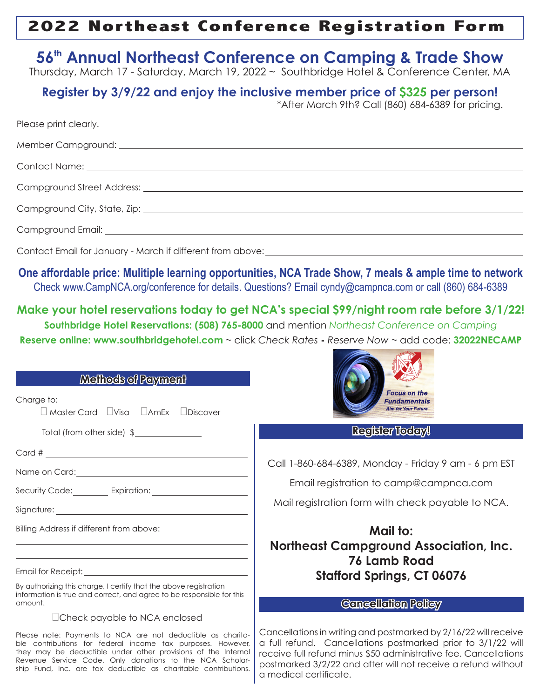## **2022 Northeast Conference Registration Form**

## **56th Annual Northeast Conference on Camping & Trade Show**

Thursday, March 17 - Saturday, March 19, 2022 ~ Southbridge Hotel & Conference Center, MA

## **Register by 3/9/22 and enjoy the inclusive member price of \$325 per person!** \*After March 9th? Call (860) 684-6389 for pricing.

| Please print clearly.                                                                                                                                                                                                               |
|-------------------------------------------------------------------------------------------------------------------------------------------------------------------------------------------------------------------------------------|
|                                                                                                                                                                                                                                     |
| Contact Name: <u>Name and Contact Name</u> Contact Name and Contact Name and Contact Name and Contact Name and Contact Name and Contact Name and Contact Name and Contact Name and Contact Name and Contact Name and Contact Name a |
|                                                                                                                                                                                                                                     |
|                                                                                                                                                                                                                                     |
|                                                                                                                                                                                                                                     |
|                                                                                                                                                                                                                                     |

Contact Email for January - March if different from above:

**One affordable price: Mulitiple learning opportunities, NCA Trade Show, 7 meals & ample time to network** Check www.CampNCA.org/conference for details. Questions? Email cyndy@campnca.com or call (860) 684-6389

**Make your hotel reservations today to get NCA's special \$99/night room rate before 3/1/22! Southbridge Hotel Reservations: (508) 765-8000** and mention *Northeast Conference on Camping* **Reserve online: www.southbridgehotel.com** ~ click *Check Rates* **-** *Reserve Now* ~ add code: **32022NECAMP**

|                                                                                                                                                                                                                                                                                                                            | <b>Reserve online: www.southbridgehotel.com ~</b> click Check Rates - Reserve Now ~ add code: <b>32022NECAMP</b>                                                                                                                                                                               |  |  |  |
|----------------------------------------------------------------------------------------------------------------------------------------------------------------------------------------------------------------------------------------------------------------------------------------------------------------------------|------------------------------------------------------------------------------------------------------------------------------------------------------------------------------------------------------------------------------------------------------------------------------------------------|--|--|--|
| Methods of Payment                                                                                                                                                                                                                                                                                                         | <b>Focus on the</b>                                                                                                                                                                                                                                                                            |  |  |  |
| Charge to:<br>$\Box$ Master Card $\Box$ Visa $\Box$ AmEx $\Box$ Discover                                                                                                                                                                                                                                                   | <b>Fundamentals</b><br><b>Aim for Your Future</b>                                                                                                                                                                                                                                              |  |  |  |
| Total (from other side) \$                                                                                                                                                                                                                                                                                                 | <b>Register Today!</b>                                                                                                                                                                                                                                                                         |  |  |  |
| $Card \#$ $\overline{\phantom{aa}}$                                                                                                                                                                                                                                                                                        |                                                                                                                                                                                                                                                                                                |  |  |  |
|                                                                                                                                                                                                                                                                                                                            | Call 1-860-684-6389, Monday - Friday 9 am - 6 pm EST                                                                                                                                                                                                                                           |  |  |  |
| Security Code: Expiration: Contract Code:                                                                                                                                                                                                                                                                                  | Email registration to camp@campnca.com                                                                                                                                                                                                                                                         |  |  |  |
|                                                                                                                                                                                                                                                                                                                            | Mail registration form with check payable to NCA.                                                                                                                                                                                                                                              |  |  |  |
| Billing Address if different from above:                                                                                                                                                                                                                                                                                   | Mail to:                                                                                                                                                                                                                                                                                       |  |  |  |
|                                                                                                                                                                                                                                                                                                                            | <b>Northeast Campground Association, Inc.</b><br><b>76 Lamb Road</b>                                                                                                                                                                                                                           |  |  |  |
|                                                                                                                                                                                                                                                                                                                            | <b>Stafford Springs, CT 06076</b>                                                                                                                                                                                                                                                              |  |  |  |
| By authorizing this charge, I certify that the above registration<br>information is true and correct, and agree to be responsible for this                                                                                                                                                                                 |                                                                                                                                                                                                                                                                                                |  |  |  |
| amount.                                                                                                                                                                                                                                                                                                                    | <b>Concellation Policy</b>                                                                                                                                                                                                                                                                     |  |  |  |
| □Check payable to NCA enclosed                                                                                                                                                                                                                                                                                             |                                                                                                                                                                                                                                                                                                |  |  |  |
| Please note: Payments to NCA are not deductible as charita-<br>ble contributions for federal income tax purposes. However,<br>they may be deductible under other provisions of the Internal<br>Revenue Service Code. Only donations to the NCA Scholar-<br>ship Fund, Inc. are tax deductible as charitable contributions. | Cancellations in writing and postmarked by 2/16/22 will receive<br>a full refund. Cancellations postmarked prior to 3/1/22 will<br>receive full refund minus \$50 administrative fee. Cancellations<br>postmarked 3/2/22 and after will not receive a refund without<br>a medical certificate. |  |  |  |